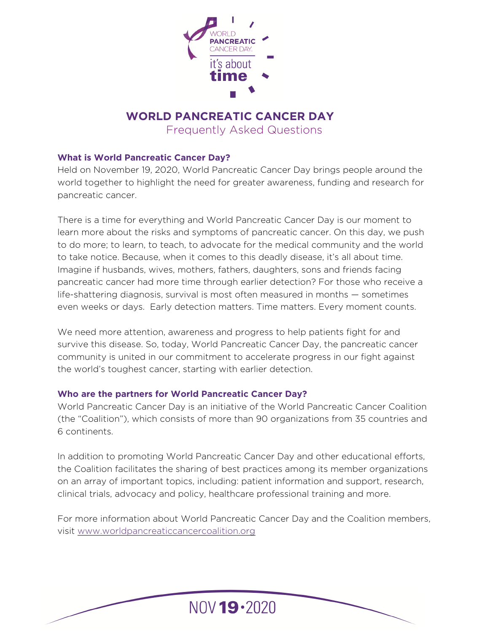

# **WORLD PANCREATIC CANCER DAY**

Frequently Asked Questions

## **What is World Pancreatic Cancer Day?**

Held on November 19, 2020, World Pancreatic Cancer Day brings people around the world together to highlight the need for greater awareness, funding and research for pancreatic cancer.

There is a time for everything and World Pancreatic Cancer Day is our moment to learn more about the risks and symptoms of pancreatic cancer. On this day, we push to do more; to learn, to teach, to advocate for the medical community and the world to take notice. Because, when it comes to this deadly disease, it's all about time. Imagine if husbands, wives, mothers, fathers, daughters, sons and friends facing pancreatic cancer had more time through earlier detection? For those who receive a life-shattering diagnosis, survival is most often measured in months — sometimes even weeks or days. Early detection matters. Time matters. Every moment counts.

We need more attention, awareness and progress to help patients fight for and survive this disease. So, today, World Pancreatic Cancer Day, the pancreatic cancer community is united in our commitment to accelerate progress in our fight against the world's toughest cancer, starting with earlier detection.

## **Who are the partners for World Pancreatic Cancer Day?**

World Pancreatic Cancer Day is an initiative of the World Pancreatic Cancer Coalition (the "Coalition"), which consists of more than 90 organizations from 35 countries and 6 continents.

In addition to promoting World Pancreatic Cancer Day and other educational efforts, the Coalition facilitates the sharing of best practices among its member organizations on an array of important topics, including: patient information and support, research, clinical trials, advocacy and policy, healthcare professional training and more.

For more information about World Pancreatic Cancer Day and the Coalition members, visit [www.worldpancreaticcancercoalition.org](http://www.worldpancreaticcancercoalition.org)

NOV 19 . 2020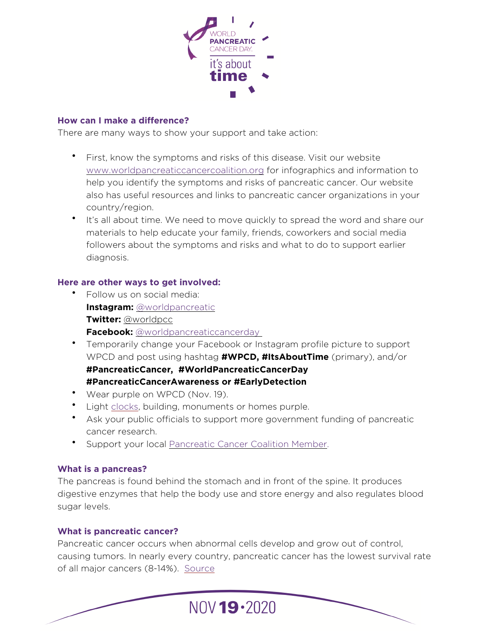

#### **How can I make a difference?**

There are many ways to show your support and take action:

- First, know the symptoms and risks of this disease. Visit our website [www.worldpancreaticcancercoalition.org](http://www.worldpancreaticcancercoalition.org) for infographics and information to help you identify the symptoms and risks of pancreatic cancer. Our website also has useful resources and links to pancreatic cancer organizations in your country/region.
- It's all about time. We need to move quickly to spread the word and share our materials to help educate your family, friends, coworkers and social media followers about the symptoms and risks and what to do to support earlier diagnosis.

## **Here are other ways to get involved:**

- Follow us on social media: **Instagram:** [@worldpancreatic](https://www.instagram.com/worldpancreatic/) **Twitter:** [@worldpcc](https://twitter.com/worldpcc) **Facebook:** [@worldpancreaticcancerday](https://www.facebook.com/worldpancreaticcancerday)
- Temporarily change your Facebook or Instagram profile picture to support WPCD and post using hashtag **#WPCD, #ItsAboutTime** (primary), and/or **#PancreaticCancer, #WorldPancreaticCancerDay #PancreaticCancerAwareness or #EarlyDetection**
- Wear purple on WPCD (Nov. 19).
- Light [clocks](https://en.wikipedia.org/wiki/List_of_clock_towers#Switzerland), building, monuments or homes purple.
- Ask your public officials to support more government funding of pancreatic cancer research.
- Support your local [Pancreatic Cancer Coalition Member.](http://www.worldpancreaticcancercoalition.org/members/)

## **What is a pancreas?**

The pancreas is found behind the stomach and in front of the spine. It produces digestive enzymes that help the body use and store energy and also regulates blood sugar levels.

## **What is pancreatic cancer?**

Pancreatic cancer occurs when abnormal cells develop and grow out of control, causing tumors. In nearly every country, pancreatic cancer has the lowest survival rate of all major cancers (8-14%). [Source](https://gco.iarc.fr/survival/survmark/visualizations/viz1/?groupby=%22country%22&period=%225%22&cancer_site=%22Pancreas%22&country=%22Australia%22&year=%222014%22&gender=%22All%22&sorting=%220%22)

 $N0V$  19 $\cdot$ 2020